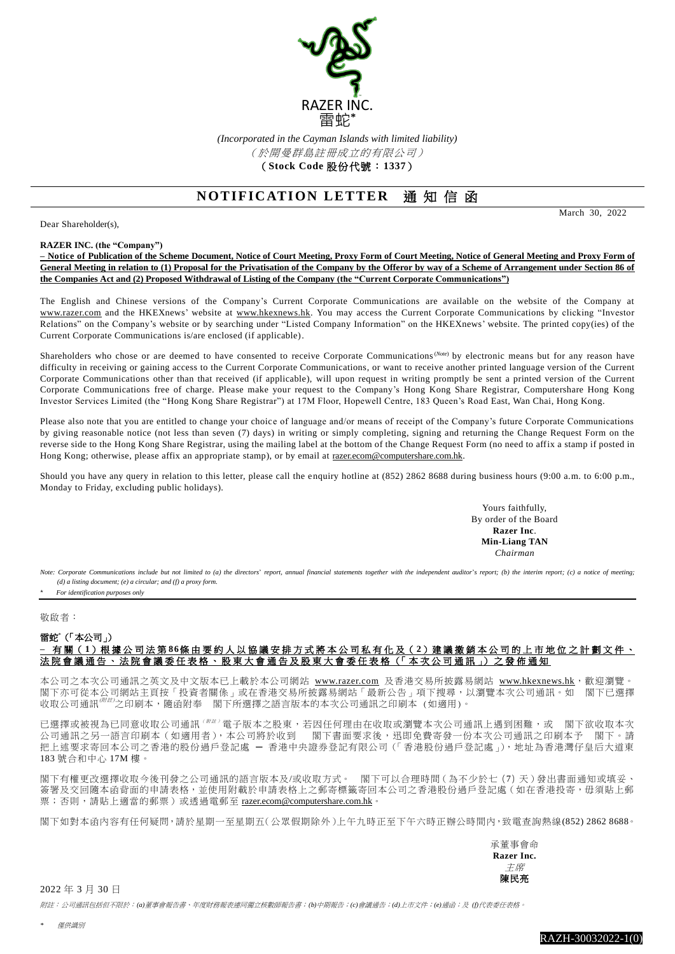

*(Incorporated in the Cayman Islands with limited liability)* (於開曼群島註冊成立的有限公司) (**Stock Code** 股份代號:**1337**)

## **NOTIFICATION LETTER 涌知信函**

Dear Shareholder(s),

March 30, 2022

## **RAZER INC. (the "Company")**

**– Notice of Publication of the Scheme Document, Notice of Court Meeting, Proxy Form of Court Meeting, Notice of General Meeting and Proxy Form of General Meeting in relation to (1) Proposal for the Privatisation of the Company by the Offeror by way of a Scheme of Arrangement under Section 86 of the Companies Act and (2) Proposed Withdrawal of Listing of the Company (the "Current Corporate Communications")**

The English and Chinese versions of the Company's Current Corporate Communications are available on the website of the Company at [www.razer.com](http://www.razer.com/) and the HKEXnews' website at [www.hkexnews.hk.](http://www.hkexnews.hk/) You may access the Current Corporate Communications by clicking "Investor Relations" on the Company's website or by searching under "Listed Company Information" on the HKEXnews' website. The printed copy(ies) of the Current Corporate Communications is/are enclosed (if applicable).

Shareholders who chose or are deemed to have consented to receive Corporate Communications<sup>(Note)</sup> by electronic means but for any reason have difficulty in receiving or gaining access to the Current Corporate Communications, or want to receive another printed language version of the Current Corporate Communications other than that received (if applicable), will upon request in writing promptly be sent a printed version of the Current Corporate Communications free of charge. Please make your request to the Company's Hong Kong Share Registrar, Computershare Hong Kong Investor Services Limited (the "Hong Kong Share Registrar") at 17M Floor, Hopewell Centre, 183 Queen's Road East, Wan Chai, Hong Kong.

Please also note that you are entitled to change your choice of language and/or means of receipt of the Company's future Corporate Communications by giving reasonable notice (not less than seven (7) days) in writing or simply completing, signing and returning the Change Request Form on the reverse side to the Hong Kong Share Registrar, using the mailing label at the bottom of the Change Request Form (no need to affix a stamp if posted in Hong Kong; otherwise, please affix an appropriate stamp), or by email at [razer.ecom@computershare.com.hk.](mailto:razer.ecom@computershare.com.hk)

Should you have any query in relation to this letter, please call the enquiry hotline at  $(852)$  2862 8688 during business hours (9:00 a.m. to 6:00 p.m., Monday to Friday, excluding public holidays).

> Yours faithfully, By order of the Board **Razer Inc**. **Min-Liang TAN** *Chairman*

Note: Corporate Communications include but not limited to (a) the directors' report, annual financial statements together with the independent auditor's report; (b) the interim report; (c) a notice of meeting; *(d) a listing document; (e) a circular; and (f) a proxy form.*

*\* For identification purposes only*

## 敬啟者:

## 雷蛇<sup>\*</sup>(「本公司」) **–** 有 關( **1**)根 據 公 司 法 第 **86**條 由 要 約 人 以 協 議 安 排 方 式 將 本 公 司 私 有 化 及( **2**)建 議 撤 銷 本公司 的 上 市 地 位 之 計 劃 文 件 、 法院會議通告、法院會議委任表格、股東大會通告及股東大會委任表格(「本次公司通訊」) 之發佈通知

本公司之本次公司通訊之英文及中文版本已上載於本公司網站 [www.razer.com](http://www.razer.com/) 及香港交易所披露易網站 [www.hkexnews.hk](https://www.hkexnews.hk/index_c.htm),就迎瀏覽。 閣下亦可從本公司網站主頁按「投資者關係」或在香港交易所披露易網站「最新公告」項下搜尋,以瀏覽本次公司通訊。如 閣下已選擇 收取公司通訊<sup>*哪#}*之印刷本,隨函附奉 | 閣下所選擇之語言版本的本次公司通訊之印刷本 (如適用)。</sup>

已選擇或被視為已同意收取公司通訊( $^{\#E}$ ) 電子版本之股東,若因任何理由在收取或瀏覽本次公司通訊上遇到困難,或 閣下欲收取本次 公司通訊之另一語言印刷本(如適用者),本公司將於收到 閣下書面要求後,迅即免費寄發一份本次公司通訊之印刷本予 閣下。請 把上述要求寄回本公司之香港的股份過戶登記處 ─ 香港中央證券登記有限公司(「香港股份過戶登記處」),地址為香港灣仔皇后大道東 183 號合和中心 17M 樓。

閣下有權更改選擇收取今後刊發之公司通訊的語言版本及/或收取方式。 閣下可以合理時間(為不少於七(7)天)發出書面通知或填妥、 簽署及交回隨本函背面的申請表格,並使用附載於申請表格上之郵寄標籤寄回本公司之香港股份過戶登記處(如在香港投寄,毋須貼上郵 票;否則,請貼上適當的郵票)或透過電郵至 [razer.ecom@computershare.com.hk](mailto:razer.ecom@computershare.com.hk)。

閣下如對本函內容有任何疑問,請於星期一至星期五(公眾假期除外)上午九時正至下午六時正辦公時間內,致電查詢熱線(852) 2862 8688。

承董事會命 **Razer Inc.**  主席 陳民亮

2022 年 3 月 30 日

附註:公司通訊包括但不限於:*(a)*董事會報告書、年度財務報表連同獨立核數師報告書;*(b)*中期報告;*(c)*會議通告;*(d)*上市文件;*(e)*通函;及 *(f)*代表委任表格。